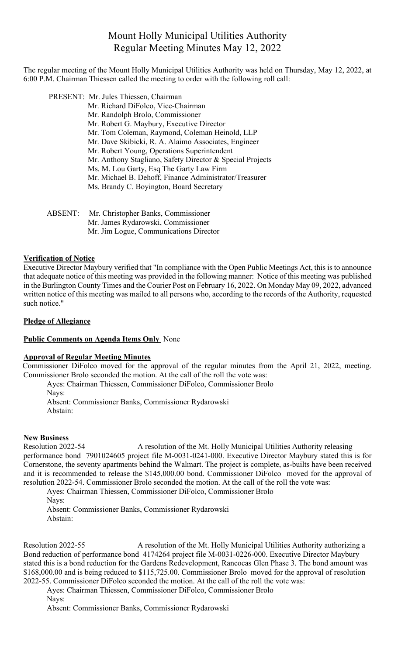# Mount Holly Municipal Utilities Authority Regular Meeting Minutes May 12, 2022

The regular meeting of the Mount Holly Municipal Utilities Authority was held on Thursday, May 12, 2022, at 6:00 P.M. Chairman Thiessen called the meeting to order with the following roll call:

PRESENT: Mr. Jules Thiessen, Chairman

- Mr. Richard DiFolco, Vice-Chairman
	- Mr. Randolph Brolo, Commissioner
	- Mr. Robert G. Maybury, Executive Director
	- Mr. Tom Coleman, Raymond, Coleman Heinold, LLP
	- Mr. Dave Skibicki, R. A. Alaimo Associates, Engineer
	- Mr. Robert Young, Operations Superintendent
	- Mr. Anthony Stagliano, Safety Director & Special Projects
	- Ms. M. Lou Garty, Esq The Garty Law Firm
	- Mr. Michael B. Dehoff, Finance Administrator/Treasurer
	- Ms. Brandy C. Boyington, Board Secretary

ABSENT: Mr. Christopher Banks, Commissioner Mr. James Rydarowski, Commissioner Mr. Jim Logue, Communications Director

## **Verification of Notice**

Executive Director Maybury verified that "In compliance with the Open Public Meetings Act, this is to announce that adequate notice of this meeting was provided in the following manner: Notice of this meeting was published in the Burlington County Times and the Courier Post on February 16, 2022. On Monday May 09, 2022, advanced written notice of this meeting was mailed to all persons who, according to the records of the Authority, requested such notice."

### **Pledge of Allegiance**

### **Public Comments on Agenda Items Only** None

### **Approval of Regular Meeting Minutes**

Commissioner DiFolco moved for the approval of the regular minutes from the April 21, 2022, meeting. Commissioner Brolo seconded the motion. At the call of the roll the vote was:

Ayes: Chairman Thiessen, Commissioner DiFolco, Commissioner Brolo Navs: Absent: Commissioner Banks, Commissioner Rydarowski Abstain:

#### **New Business**

Resolution 2022-54 A resolution of the Mt. Holly Municipal Utilities Authority releasing performance bond 7901024605 project file M-0031-0241-000. Executive Director Maybury stated this is for Cornerstone, the seventy apartments behind the Walmart. The project is complete, as-builts have been received and it is recommended to release the \$145,000.00 bond. Commissioner DiFolco moved for the approval of resolution 2022-54. Commissioner Brolo seconded the motion. At the call of the roll the vote was:

Ayes: Chairman Thiessen, Commissioner DiFolco, Commissioner Brolo

Absent: Commissioner Banks, Commissioner Rydarowski Abstain:

Resolution 2022-55 A resolution of the Mt. Holly Municipal Utilities Authority authorizing a Bond reduction of performance bond 4174264 project file M-0031-0226-000. Executive Director Maybury stated this is a bond reduction for the Gardens Redevelopment, Rancocas Glen Phase 3. The bond amount was \$168,000.00 and is being reduced to \$115,725.00. Commissioner Brolo moved for the approval of resolution 2022-55. Commissioner DiFolco seconded the motion. At the call of the roll the vote was:

Ayes: Chairman Thiessen, Commissioner DiFolco, Commissioner Brolo

Nays:

Absent: Commissioner Banks, Commissioner Rydarowski

Nays: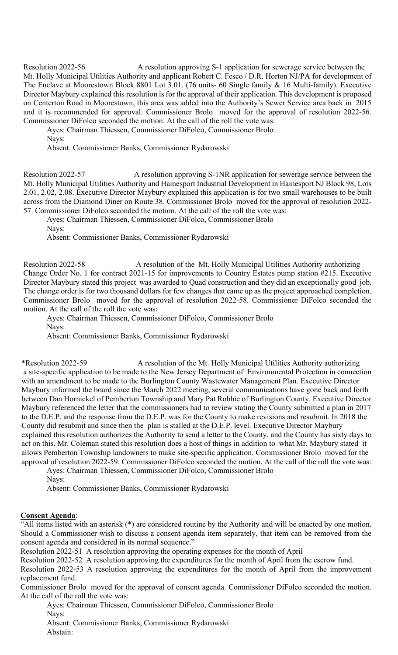Resolution 2022-56 A resolution approving S-1 application for sewerage service between the Mt. Holly Municipal Utilities Authority and applicant Robert C. Fesco / D.R. Horton NJ/PA for development of The Enclave at Moorestown Block 8801 Lot 3.01. (76 units- 60 Single family & 16 Multi-family). Executive Director Maybury explained this resolution is for the approval of their application. This development is proposed on Centerton Road in Moorestown, this area was added into the Authority's Sewer Service area back in 2015 and it is recommended for approval. Commissioner Brolo moved for the approval of resolution 2022-56. Commissioner DiFolco seconded the motion. At the call of the roll the vote was:

Ayes: Chairman Thiessen, Commissioner DiFolco, Commissioner Brolo

Nays:

Absent: Commissioner Banks, Commissioner Rydarowski

Resolution 2022-57 A resolution approving S-1NR application for sewerage service between the Mt. Holly Municipal Utilities Authority and Hainesport Industrial Development in Hainesport NJ Block 98, Lots 2.01, 2.02, 2.08. Executive Director Maybury explained this application is for two small warehouses to be built across from the Diamond Diner on Route 38. Commissioner Brolo moved for the approval of resolution 2022- 57. Commissioner DiFolco seconded the motion. At the call of the roll the vote was:

Ayes: Chairman Thiessen, Commissioner DiFolco, Commissioner Brolo

Nays:

Absent: Commissioner Banks, Commissioner Rydarowski

Resolution 2022-58 A resolution of the Mt. Holly Municipal Utilities Authority authorizing Change Order No. 1 for contract 2021-15 for improvements to Country Estates pump station #215. Executive Director Maybury stated this project was awarded to Quad construction and they did an exceptionally good job. The change order is for two thousand dollars for few changes that came up as the project approached completion. Commissioner Brolo moved for the approval of resolution 2022-58. Commissioner DiFolco seconded the motion. At the call of the roll the vote was:

 Ayes: Chairman Thiessen, Commissioner DiFolco, Commissioner Brolo Nays:

Absent: Commissioner Banks, Commissioner Rydarowski

 \*Resolution 2022-59 A resolution of the Mt. Holly Municipal Utilities Authority authorizing a site-specific application to be made to the New Jersey Department of Environmental Protection in connection with an amendment to be made to the Burlington County Wastewater Management Plan. Executive Director Maybury informed the board since the March 2022 meeting, several communications have gone back and forth between Dan Hornickel of Pemberton Township and Mary Pat Robbie of Burlington County. Executive Director Maybury referenced the letter that the commissioners had to review stating the County submitted a plan in 2017 to the D.E.P. and the response from the D.E.P. was for the County to make revisions and resubmit. In 2018 the County did resubmit and since then the plan is stalled at the D.E.P. level. Executive Director Maybury explained this resolution authorizes the Authority to send a letter to the County, and the County has sixty days to act on this. Mr. Coleman stated this resolution does a host of things in addition to what Mr. Maybury stated it allows Pemberton Township landowners to make site-specific application. Commissioner Brolo moved for the approval of resolution 2022-59. Commissioner DiFolco seconded the motion. At the call of the roll the vote was:

 Ayes: Chairman Thiessen, Commissioner DiFolco, Commissioner Brolo Nays:

Absent: Commissioner Banks, Commissioner Rydarowski

### **Consent Agenda**:

"All items listed with an asterisk (\*) are considered routine by the Authority and will be enacted by one motion. Should a Commissioner wish to discuss a consent agenda item separately, that item can be removed from the consent agenda and considered in its normal sequence."

Resolution 2022-51 A resolution approving the operating expenses for the month of April

Resolution 2022-52 A resolution approving the expenditures for the month of April from the escrow fund.

Resolution 2022-53 A resolution approving the expenditures for the month of April from the improvement replacement fund.

Commissioner Brolo moved for the approval of consent agenda. Commissioner DiFolco seconded the motion. At the call of the roll the vote was:

Ayes: Chairman Thiessen, Commissioner DiFolco, Commissioner Brolo Nays: Absent: Commissioner Banks, Commissioner Rydarowski

Abstain: